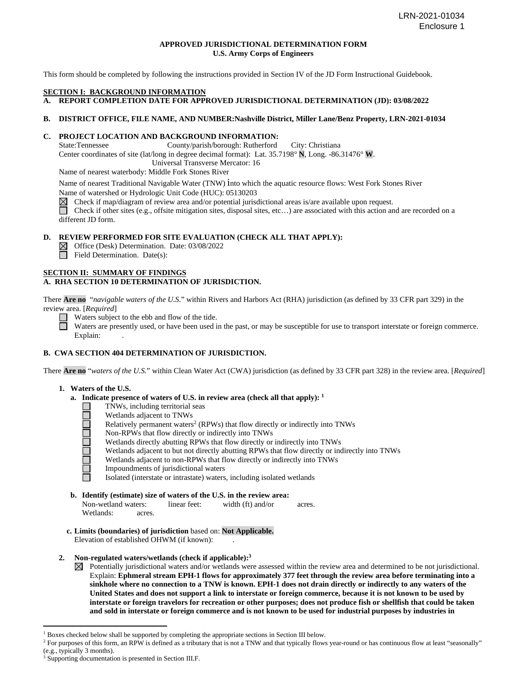# **APPROVED JURISDICTIONAL DETERMINATION FORM U.S. Army Corps of Engineers**

This form should be completed by following the instructions provided in Section IV of the JD Form Instructional Guidebook.

#### **SECTION I: BACKGROUND INFORMATION**

**A. REPORT COMPLETION DATE FOR APPROVED JURISDICTIONAL DETERMINATION (JD): 03/08/2022**

# **B. DISTRICT OFFICE, FILE NAME, AND NUMBER:Nashville District, Miller Lane/Benz Property, LRN-2021-01034**

# **C. PROJECT LOCATION AND BACKGROUND INFORMATION:**

State:Tennessee County/parish/borough: Rutherford City: Christiana

Center coordinates of site (lat/long in degree decimal format): Lat. 35.7198° **N**, Long. -86.31476° **W**.

Universal Transverse Mercator: 16

Name of nearest waterbody: Middle Fork Stones River

Name of nearest Traditional Navigable Water (TNW) into which the aquatic resource flows: West Fork Stones River Name of watershed or Hydrologic Unit Code (HUC): 05130203

 $\boxtimes$ Check if map/diagram of review area and/or potential jurisdictional areas is/are available upon request.

Check if other sites (e.g., offsite mitigation sites, disposal sites, etc…) are associated with this action and are recorded on a different JD form.

## **D. REVIEW PERFORMED FOR SITE EVALUATION (CHECK ALL THAT APPLY):**

Office (Desk) Determination. Date: 03/08/2022

 $\Box$  Field Determination. Date(s):

#### **SECTION II: SUMMARY OF FINDINGS**

# **A. RHA SECTION 10 DETERMINATION OF JURISDICTION.**

There **Are no** "*navigable waters of the U.S.*" within Rivers and Harbors Act (RHA) jurisdiction (as defined by 33 CFR part 329) in the review area. [*Required*]

Waters subject to the ebb and flow of the tide.

Waters are presently used, or have been used in the past, or may be susceptible for use to transport interstate or foreign commerce. Explain:

# **B. CWA SECTION 404 DETERMINATION OF JURISDICTION.**

There **Are no** "*waters of the U.S.*" within Clean Water Act (CWA) jurisdiction (as defined by 33 CFR part 328) in the review area. [*Required*]

# **1. Waters of the U.S.**

- **a. Indicate presence of waters of U.S. in review area (check all that apply): 1**
	- TNWs, including territorial seas  $\Box$ 
		- Wetlands adjacent to TNWs
	- 0000<br>0000 Relatively permanent waters<sup>2</sup> (RPWs) that flow directly or indirectly into TNWs
		- Non-RPWs that flow directly or indirectly into TNWs
		- Wetlands directly abutting RPWs that flow directly or indirectly into TNWs
		- Wetlands adjacent to but not directly abutting RPWs that flow directly or indirectly into TNWs
		- Wetlands adjacent to non-RPWs that flow directly or indirectly into TNWs
		- Impoundments of jurisdictional waters

Isolated (interstate or intrastate) waters, including isolated wetlands

**b. Identify (estimate) size of waters of the U.S. in the review area:**

| Non-wetland waters: | linear feet: | width $(ft)$ and/or | acres. |
|---------------------|--------------|---------------------|--------|
| Wetlands:           | acres.       |                     |        |

**c. Limits (boundaries) of jurisdiction** based on: **Not Applicable.** Elevation of established OHWM (if known):

# **2. Non-regulated waters/wetlands (check if applicable):3**

Potentially jurisdictional waters and/or wetlands were assessed within the review area and determined to be not jurisdictional. Explain: **Ephmeral stream EPH-1 flows for approximately 377 feet through the review area before terminating into a sinkhole where no connection to a TNW is known. EPH-1 does not drain directly or indirectly to any waters of the United States and does not support a link to interstate or foreign commerce, because it is not known to be used by interstate or foreign travelors for recreation or other purposes; does not produce fish or shellfish that could be taken and sold in interstate or foreign commerce and is not known to be used for industrial purposes by industries in** 

 $<sup>1</sup>$  Boxes checked below shall be supported by completing the appropriate sections in Section III below.</sup>

<sup>&</sup>lt;sup>2</sup> For purposes of this form, an RPW is defined as a tributary that is not a TNW and that typically flows year-round or has continuous flow at least "seasonally" (e.g., typically 3 months).  $3$  Supporting documentation is presented in Section III.F.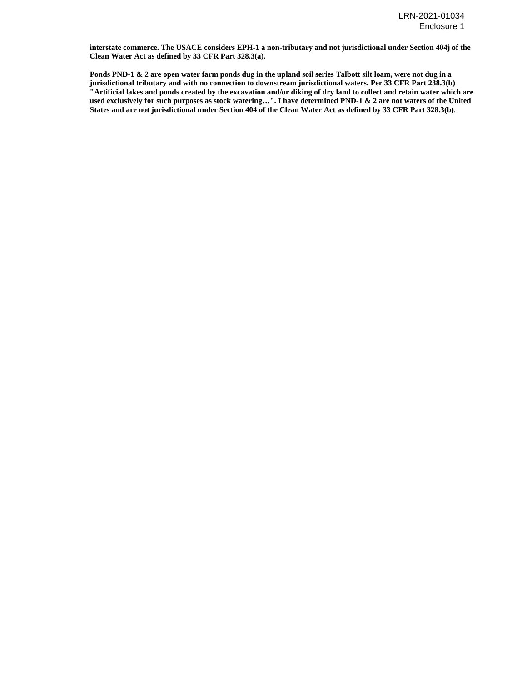**interstate commerce. The USACE considers EPH-1 a non-tributary and not jurisdictional under Section 404j of the Clean Water Act as defined by 33 CFR Part 328.3(a).** 

 **Ponds PND-1 & 2 are open water farm ponds dug in the upland soil series Talbott silt loam, were not dug in a jurisdictional tributary and with no connection to downstream jurisdictional waters. Per 33 CFR Part 238.3(b) "Artificial lakes and ponds created by the excavation and/or diking of dry land to collect and retain water which are used exclusively for such purposes as stock watering…". I have determined PND-1 & 2 are not waters of the United States and are not jurisdictional under Section 404 of the Clean Water Act as defined by 33 CFR Part 328.3(b)**.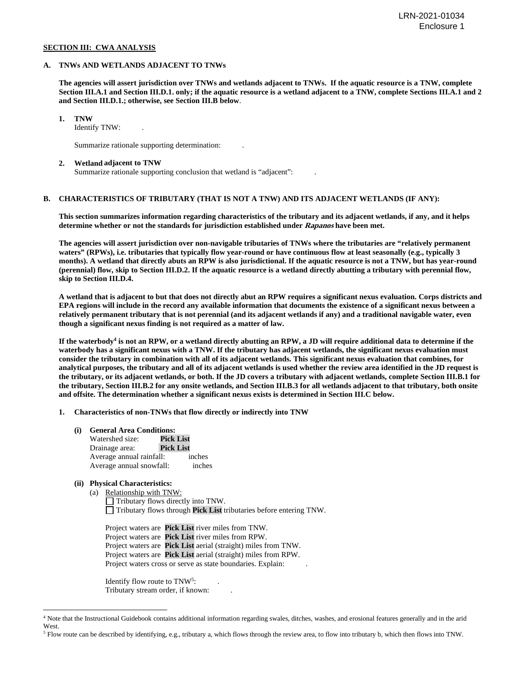#### **SECTION III: CWA ANALYSIS**

#### **A. TNWs AND WETLANDS ADJACENT TO TNWs**

**The agencies will assert jurisdiction over TNWs and wetlands adjacent to TNWs. If the aquatic resource is a TNW, complete Section III.A.1 and Section III.D.1. only; if the aquatic resource is a wetland adjacent to a TNW, complete Sections III.A.1 and 2 and Section III.D.1.; otherwise, see Section III.B below**.

 **1. TNW** 

Identify TNW: .

Summarize rationale supporting determination: .

#### **2. Wetland adjacent to TNW**

Summarize rationale supporting conclusion that wetland is "adjacent":

# **B. CHARACTERISTICS OF TRIBUTARY (THAT IS NOT A TNW) AND ITS ADJACENT WETLANDS (IF ANY):**

 **This section summarizes information regarding characteristics of the tributary and its adjacent wetlands, if any, and it helps determine whether or not the standards for jurisdiction established under Rapanos have been met.** 

 **The agencies will assert jurisdiction over non-navigable tributaries of TNWs where the tributaries are "relatively permanent waters" (RPWs), i.e. tributaries that typically flow year-round or have continuous flow at least seasonally (e.g., typically 3 months). A wetland that directly abuts an RPW is also jurisdictional. If the aquatic resource is not a TNW, but has year-round (perennial) flow, skip to Section III.D.2. If the aquatic resource is a wetland directly abutting a tributary with perennial flow, skip to Section III.D.4.** 

**A wetland that is adjacent to but that does not directly abut an RPW requires a significant nexus evaluation. Corps districts and EPA regions will include in the record any available information that documents the existence of a significant nexus between a relatively permanent tributary that is not perennial (and its adjacent wetlands if any) and a traditional navigable water, even though a significant nexus finding is not required as a matter of law.** 

**If the waterbody4 is not an RPW, or a wetland directly abutting an RPW, a JD will require additional data to determine if the waterbody has a significant nexus with a TNW. If the tributary has adjacent wetlands, the significant nexus evaluation must consider the tributary in combination with all of its adjacent wetlands. This significant nexus evaluation that combines, for analytical purposes, the tributary and all of its adjacent wetlands is used whether the review area identified in the JD request is the tributary, or its adjacent wetlands, or both. If the JD covers a tributary with adjacent wetlands, complete Section III.B.1 for the tributary, Section III.B.2 for any onsite wetlands, and Section III.B.3 for all wetlands adjacent to that tributary, both onsite and offsite. The determination whether a significant nexus exists is determined in Section III.C below.** 

 **1. Characteristics of non-TNWs that flow directly or indirectly into TNW**

 **(i) General Area Conditions:**

| Watershed size:          | <b>Pick List</b> |        |
|--------------------------|------------------|--------|
| Drainage area:           | <b>Pick List</b> |        |
| Average annual rainfall: |                  | inches |
| Average annual snowfall: |                  | inches |

# **(ii) Physical Characteristics:**

(a) Relationship with TNW: Tributary flows directly into TNW. Tributary flows through **Pick List** tributaries before entering TNW.

Project waters are **Pick List** river miles from TNW. Project waters are **Pick List** river miles from RPW. Project waters are **Pick List** aerial (straight) miles from TNW. Project waters are **Pick List** aerial (straight) miles from RPW. Project waters cross or serve as state boundaries. Explain:

Identify flow route to TNW<sup>5</sup>: Tributary stream order, if known: .

<sup>4</sup> Note that the Instructional Guidebook contains additional information regarding swales, ditches, washes, and erosional features generally and in the arid West.

<sup>5</sup> Flow route can be described by identifying, e.g., tributary a, which flows through the review area, to flow into tributary b, which then flows into TNW.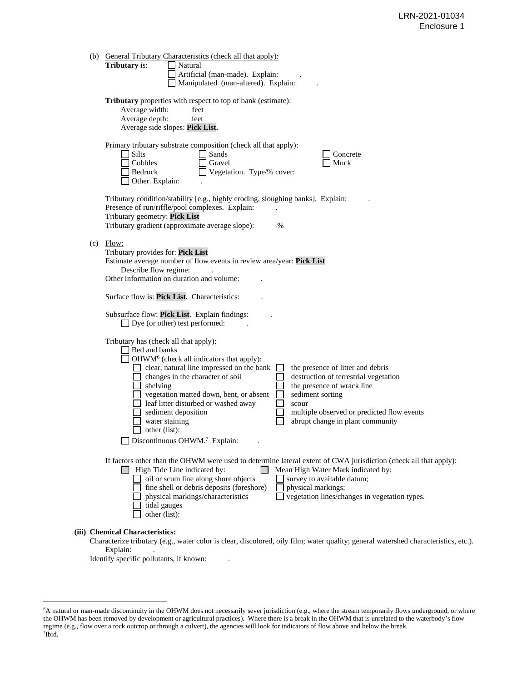| (b) | <b>General Tributary Characteristics (check all that apply):</b><br><b>Tributary</b> is:<br>Natural<br>Artificial (man-made). Explain:<br>Manipulated (man-altered). Explain:                                                                                                                                                                                                                                                                                                                                                                                                                                                                               |
|-----|-------------------------------------------------------------------------------------------------------------------------------------------------------------------------------------------------------------------------------------------------------------------------------------------------------------------------------------------------------------------------------------------------------------------------------------------------------------------------------------------------------------------------------------------------------------------------------------------------------------------------------------------------------------|
|     | Tributary properties with respect to top of bank (estimate):<br>Average width:<br>feet<br>Average depth:<br>feet<br>Average side slopes: Pick List.                                                                                                                                                                                                                                                                                                                                                                                                                                                                                                         |
|     | Primary tributary substrate composition (check all that apply):<br>Silts<br>Sands<br>$\blacksquare$<br>Concrete<br>Cobbles<br>Gravel<br>Muck<br>Vegetation. Type/% cover:<br>Bedrock<br>Other. Explain:                                                                                                                                                                                                                                                                                                                                                                                                                                                     |
|     | Tributary condition/stability [e.g., highly eroding, sloughing banks]. Explain:<br>Presence of run/riffle/pool complexes. Explain:<br>Tributary geometry: Pick List<br>Tributary gradient (approximate average slope):<br>%                                                                                                                                                                                                                                                                                                                                                                                                                                 |
| (c) | Flow:<br>Tributary provides for: Pick List<br>Estimate average number of flow events in review area/year: Pick List<br>Describe flow regime:<br>Other information on duration and volume:                                                                                                                                                                                                                                                                                                                                                                                                                                                                   |
|     | Surface flow is: Pick List. Characteristics:                                                                                                                                                                                                                                                                                                                                                                                                                                                                                                                                                                                                                |
|     | Subsurface flow: Pick List. Explain findings:<br>$\Box$ Dye (or other) test performed:                                                                                                                                                                                                                                                                                                                                                                                                                                                                                                                                                                      |
|     | Tributary has (check all that apply):<br>Bed and banks<br>OHWM <sup>6</sup> (check all indicators that apply):<br>clear, natural line impressed on the bank<br>the presence of litter and debris<br>destruction of terrestrial vegetation<br>changes in the character of soil<br>shelving<br>the presence of wrack line<br>vegetation matted down, bent, or absent<br>$\Box$<br>sediment sorting<br>$\Box$<br>leaf litter disturbed or washed away<br>scour<br>sediment deposition<br>multiple observed or predicted flow events<br>abrupt change in plant community<br>water staining<br>other (list):<br>$\Box$ Discontinuous OHWM. <sup>7</sup> Explain: |
|     | If factors other than the OHWM were used to determine lateral extent of CWA jurisdiction (check all that apply):<br>$\Box$ High Tide Line indicated by:<br>Mean High Water Mark indicated by:<br>oil or scum line along shore objects<br>survey to available datum;<br>fine shell or debris deposits (foreshore)<br>physical markings;<br>physical markings/characteristics<br>vegetation lines/changes in vegetation types.<br>tidal gauges<br>other (list):                                                                                                                                                                                               |
|     | (iii) Chemical Characteristics:                                                                                                                                                                                                                                                                                                                                                                                                                                                                                                                                                                                                                             |

Characterize tributary (e.g., water color is clear, discolored, oily film; water quality; general watershed characteristics, etc.). Explain:

Identify specific pollutants, if known:

<sup>6</sup> A natural or man-made discontinuity in the OHWM does not necessarily sever jurisdiction (e.g., where the stream temporarily flows underground, or where the OHWM has been removed by development or agricultural practices). Where there is a break in the OHWM that is unrelated to the waterbody's flow regime (e.g., flow over a rock outcrop or through a culvert), the agencies will look for indicators of flow above and below the break. 7 Ibid.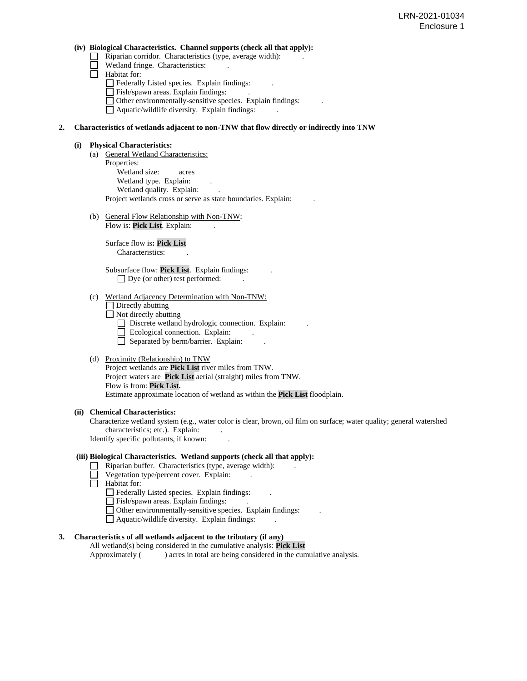#### **(iv) Biological Characteristics. Channel supports (check all that apply):**

- $\Box$  Riparian corridor. Characteristics (type, average width):
- Wetland fringe. Characteristics:
- Habitat for:
	- Federally Listed species. Explain findings:
	- $\Box$  Fish/spawn areas. Explain findings:
	- $\Box$  Other environmentally-sensitive species. Explain findings:

Aquatic/wildlife diversity. Explain findings: .

# **2. Characteristics of wetlands adjacent to non-TNW that flow directly or indirectly into TNW**

#### **(i) Physical Characteristics:**

- (a) General Wetland Characteristics: Properties: Wetland size: acres Wetland type. Explain: Wetland quality. Explain: Project wetlands cross or serve as state boundaries. Explain: .
- (b) General Flow Relationship with Non-TNW: Flow is: Pick List. Explain:

 Surface flow is**: Pick List**  Characteristics: .

 Subsurface flow: **Pick List**. Explain findings: .  $\Box$  Dye (or other) test performed:

## (c) Wetland Adjacency Determination with Non-TNW:

- Directly abutting
- $\Box$  Not directly abutting
	- Discrete wetland hydrologic connection. Explain:
	- Ecological connection. Explain:
	- $\Box$  Separated by berm/barrier. Explain:

# (d) Proximity (Relationship) to TNW

Project wetlands are **Pick List** river miles from TNW. Project waters are **Pick List** aerial (straight) miles from TNW. Flow is from: **Pick List.** Estimate approximate location of wetland as within the **Pick List** floodplain.

# **(ii) Chemical Characteristics:**

Characterize wetland system (e.g., water color is clear, brown, oil film on surface; water quality; general watershed characteristics; etc.). Explain: Identify specific pollutants, if known: .

# **(iii) Biological Characteristics. Wetland supports (check all that apply):**

- $\Box$  Riparian buffer. Characteristics (type, average width):
	- Vegetation type/percent cover. Explain:
- Habitat for:
	- Federally Listed species. Explain findings:
	- Fish/spawn areas. Explain findings: .
	- Other environmentally-sensitive species. Explain findings: .
	- $\Box$  Aquatic/wildlife diversity. Explain findings:

# **3. Characteristics of all wetlands adjacent to the tributary (if any)**

All wetland(s) being considered in the cumulative analysis: **Pick List** Approximately ( ) acres in total are being considered in the cumulative analysis.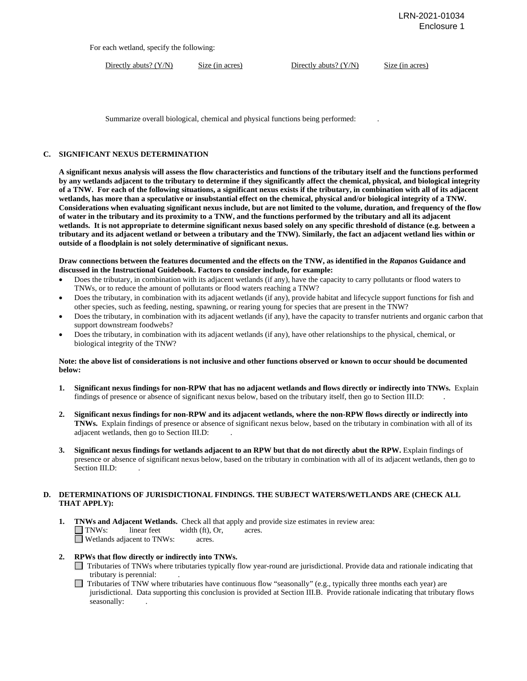For each wetland, specify the following:

Directly abuts? (Y/N) Size (in acres) Directly abuts? (Y/N) Size (in acres)

Summarize overall biological, chemical and physical functions being performed: .

## **C. SIGNIFICANT NEXUS DETERMINATION**

**A significant nexus analysis will assess the flow characteristics and functions of the tributary itself and the functions performed by any wetlands adjacent to the tributary to determine if they significantly affect the chemical, physical, and biological integrity of a TNW. For each of the following situations, a significant nexus exists if the tributary, in combination with all of its adjacent wetlands, has more than a speculative or insubstantial effect on the chemical, physical and/or biological integrity of a TNW. Considerations when evaluating significant nexus include, but are not limited to the volume, duration, and frequency of the flow of water in the tributary and its proximity to a TNW, and the functions performed by the tributary and all its adjacent wetlands. It is not appropriate to determine significant nexus based solely on any specific threshold of distance (e.g. between a tributary and its adjacent wetland or between a tributary and the TNW). Similarly, the fact an adjacent wetland lies within or outside of a floodplain is not solely determinative of significant nexus.** 

**Draw connections between the features documented and the effects on the TNW, as identified in the** *Rapanos* **Guidance and discussed in the Instructional Guidebook. Factors to consider include, for example:**

- Does the tributary, in combination with its adjacent wetlands (if any), have the capacity to carry pollutants or flood waters to TNWs, or to reduce the amount of pollutants or flood waters reaching a TNW?
- Does the tributary, in combination with its adjacent wetlands (if any), provide habitat and lifecycle support functions for fish and other species, such as feeding, nesting, spawning, or rearing young for species that are present in the TNW?
- Does the tributary, in combination with its adjacent wetlands (if any), have the capacity to transfer nutrients and organic carbon that support downstream foodwebs?
- Does the tributary, in combination with its adjacent wetlands (if any), have other relationships to the physical, chemical, or biological integrity of the TNW?

#### **Note: the above list of considerations is not inclusive and other functions observed or known to occur should be documented below:**

- **1. Significant nexus findings for non-RPW that has no adjacent wetlands and flows directly or indirectly into TNWs.** Explain findings of presence or absence of significant nexus below, based on the tributary itself, then go to Section III.D: .
- **2. Significant nexus findings for non-RPW and its adjacent wetlands, where the non-RPW flows directly or indirectly into TNWs.** Explain findings of presence or absence of significant nexus below, based on the tributary in combination with all of its adjacent wetlands, then go to Section III.D: .
- **3. Significant nexus findings for wetlands adjacent to an RPW but that do not directly abut the RPW.** Explain findings of presence or absence of significant nexus below, based on the tributary in combination with all of its adjacent wetlands, then go to Section III.D:

# **D. DETERMINATIONS OF JURISDICTIONAL FINDINGS. THE SUBJECT WATERS/WETLANDS ARE (CHECK ALL THAT APPLY):**

- **1. TNWs and Adjacent Wetlands.** Check all that apply and provide size estimates in review area:<br>
TNWs: linear feet width (ft), Or, acres. width (ft), Or, acres.  $\Box$  Wetlands adjacent to TNWs: acres.
- **2. RPWs that flow directly or indirectly into TNWs.** 
	- Tributaries of TNWs where tributaries typically flow year-round are jurisdictional. Provide data and rationale indicating that tributary is perennial: .
	- $\Box$  Tributaries of TNW where tributaries have continuous flow "seasonally" (e.g., typically three months each year) are jurisdictional. Data supporting this conclusion is provided at Section III.B. Provide rationale indicating that tributary flows seasonally: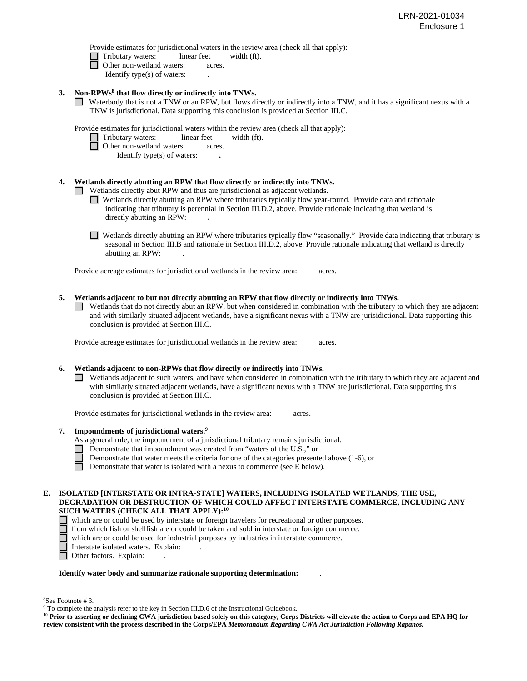Provide estimates for jurisdictional waters in the review area (check all that apply):

- Tributary waters:linear feetwidth (ft).
- □ Other non-wetland waters: acres.
	- Identify type(s) of waters: .
- **3. Non-RPWs8 that flow directly or indirectly into TNWs.**
	- Waterbody that is not a TNW or an RPW, but flows directly or indirectly into a TNW, and it has a significant nexus with a TNW is jurisdictional. Data supporting this conclusion is provided at Section III.C.

Provide estimates for jurisdictional waters within the review area (check all that apply):

- Tributary waters:linear feetwidth (ft).
- □ Other non-wetland waters: acres.
	- Identify type(s) of waters: **.**

# **4. Wetlands directly abutting an RPW that flow directly or indirectly into TNWs.**

**EXECUTE:** Wetlands directly abut RPW and thus are jurisdictional as adjacent wetlands.

- Wetlands directly abutting an RPW where tributaries typically flow year-round. Provide data and rationale indicating that tributary is perennial in Section III.D.2, above. Provide rationale indicating that wetland is directly abutting an RPW: **.**
- Wetlands directly abutting an RPW where tributaries typically flow "seasonally." Provide data indicating that tributary is seasonal in Section III.B and rationale in Section III.D.2, above. Provide rationale indicating that wetland is directly abutting an RPW: .

Provide acreage estimates for jurisdictional wetlands in the review area:acres.

# **5. Wetlands adjacent to but not directly abutting an RPW that flow directly or indirectly into TNWs.**

 $\Box$  Wetlands that do not directly abut an RPW, but when considered in combination with the tributary to which they are adjacent and with similarly situated adjacent wetlands, have a significant nexus with a TNW are jurisidictional. Data supporting this conclusion is provided at Section III.C.

Provide acreage estimates for jurisdictional wetlands in the review area:acres.

# **6. Wetlands adjacent to non-RPWs that flow directly or indirectly into TNWs.**

Wetlands adjacent to such waters, and have when considered in combination with the tributary to which they are adjacent and with similarly situated adjacent wetlands, have a significant nexus with a TNW are jurisdictional. Data supporting this conclusion is provided at Section III.C.

Provide estimates for jurisdictional wetlands in the review area: acres.

- **7. Impoundments of jurisdictional waters. 9**
	- As a general rule, the impoundment of a jurisdictional tributary remains jurisdictional.
		- Demonstrate that impoundment was created from "waters of the U.S.," or
		- Demonstrate that water meets the criteria for one of the categories presented above (1-6), or
	- Demonstrate that water is isolated with a nexus to commerce (see E below).

#### **E. ISOLATED [INTERSTATE OR INTRA-STATE] WATERS, INCLUDING ISOLATED WETLANDS, THE USE, DEGRADATION OR DESTRUCTION OF WHICH COULD AFFECT INTERSTATE COMMERCE, INCLUDING ANY SUCH WATERS (CHECK ALL THAT APPLY):10** П

- which are or could be used by interstate or foreign travelers for recreational or other purposes.
- П from which fish or shellfish are or could be taken and sold in interstate or foreign commerce.
- $\Box$ which are or could be used for industrial purposes by industries in interstate commerce.
- Interstate isolated waters.Explain: .
- □ Other factors. Explain:

#### **Identify water body and summarize rationale supporting determination:** .

<sup>&</sup>lt;sup>8</sup>See Footnote #3.

 $9$  To complete the analysis refer to the key in Section III.D.6 of the Instructional Guidebook.

**<sup>10</sup> Prior to asserting or declining CWA jurisdiction based solely on this category, Corps Districts will elevate the action to Corps and EPA HQ for review consistent with the process described in the Corps/EPA** *Memorandum Regarding CWA Act Jurisdiction Following Rapanos.*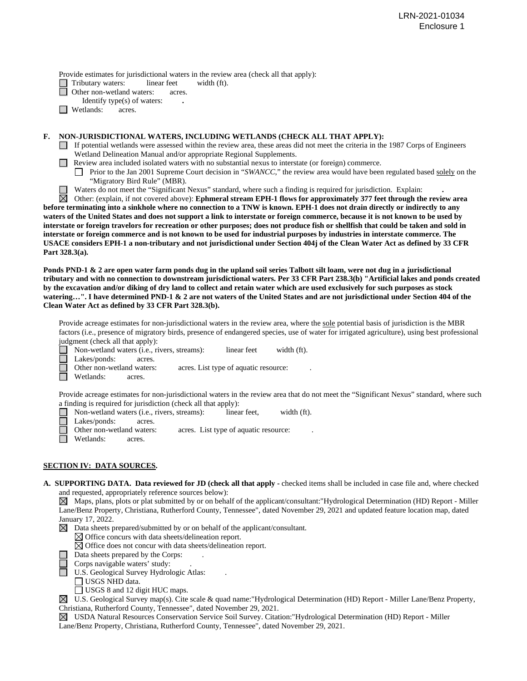Provide estimates for jurisdictional waters in the review area (check all that apply):

Tributary waters: linear feet width (ft).<br>
Other non-wetland waters: acres.

Other non-wetland waters: acres.

- Identify type(s) of waters: **.**
- **Netlands:** acres.

# **F. NON-JURISDICTIONAL WATERS, INCLUDING WETLANDS (CHECK ALL THAT APPLY):**

- $\Box$  If potential wetlands were assessed within the review area, these areas did not meet the criteria in the 1987 Corps of Engineers Wetland Delineation Manual and/or appropriate Regional Supplements.
- **Review area included isolated waters with no substantial nexus to interstate (or foreign) commerce.** 
	- **Prior to the Jan 2001 Supreme Court decision in "***SWANCC***," the review area would have been regulated based solely on the** "Migratory Bird Rule" (MBR).
	- Waters do not meet the "Significant Nexus" standard, where such a finding is required for jurisdiction. Explain: **.**

Other: (explain, if not covered above): **Ephmeral stream EPH-1 flows for approximately 377 feet through the review area before terminating into a sinkhole where no connection to a TNW is known. EPH-1 does not drain directly or indirectly to any waters of the United States and does not support a link to interstate or foreign commerce, because it is not known to be used by interstate or foreign travelors for recreation or other purposes; does not produce fish or shellfish that could be taken and sold in interstate or foreign commerce and is not known to be used for industrial purposes by industries in interstate commerce. The USACE considers EPH-1 a non-tributary and not jurisdictional under Section 404j of the Clean Water Act as defined by 33 CFR Part 328.3(a).**

**Ponds PND-1 & 2 are open water farm ponds dug in the upland soil series Talbott silt loam, were not dug in a jurisdictional tributary and with no connection to downstream jurisdictional waters. Per 33 CFR Part 238.3(b) "Artificial lakes and ponds created by the excavation and/or diking of dry land to collect and retain water which are used exclusively for such purposes as stock watering…". I have determined PND-1 & 2 are not waters of the United States and are not jurisdictional under Section 404 of the Clean Water Act as defined by 33 CFR Part 328.3(b).**

Provide acreage estimates for non-jurisdictional waters in the review area, where the sole potential basis of jurisdiction is the MBR factors (i.e., presence of migratory birds, presence of endangered species, use of water for irrigated agriculture), using best professional judgment (check all that apply):<br>  $\Box$  Non-wetland waters (i.e., ri

Non-wetland waters (i.e., rivers, streams):linear feetwidth (ft).

Lakes/ponds: acres.<br>Other non-wetland waters:

acres. List type of aquatic resource:

Wetlands: acres.

Provide acreage estimates for non-jurisdictional waters in the review area that do not meet the "Significant Nexus" standard, where such a finding is required for jurisdiction (check all that apply):

- Non-wetland waters (i.e., rivers, streams):linear feet,width (ft).
- $\Box$ Lakes/ponds: acres.
	- Other non-wetland waters: acres. List type of aquatic resource:
	- Wetlands: acres.

# **SECTION IV: DATA SOURCES.**

**A. SUPPORTING DATA. Data reviewed for JD (check all that apply -** checked items shall be included in case file and, where checked and requested, appropriately reference sources below):

 $\boxtimes$  Maps, plans, plots or plat submitted by or on behalf of the applicant/consultant:"Hydrological Determination (HD) Report - Miller Lane/Benz Property, Christiana, Rutherford County, Tennessee", dated November 29, 2021 and updated feature location map, dated January 17, 2022.

 $\boxtimes$  Data sheets prepared/submitted by or on behalf of the applicant/consultant.

- $\boxtimes$  Office concurs with data sheets/delineation report.
	- $\boxtimes$  Office does not concur with data sheets/delineation report.
- Data sheets prepared by the Corps: .
- Corps navigable waters' study: .
- U.S. Geological Survey Hydrologic Atlas: .
	- USGS NHD data.
	- □ USGS 8 and 12 digit HUC maps.

 $\boxtimes$  U.S. Geological Survey map(s). Cite scale & quad name: "Hydrological Determination (HD) Report - Miller Lane/Benz Property, Christiana, Rutherford County, Tennessee", dated November 29, 2021.

USDA Natural Resources Conservation Service Soil Survey. Citation:"Hydrological Determination (HD) Report - Miller Lane/Benz Property, Christiana, Rutherford County, Tennessee", dated November 29, 2021.